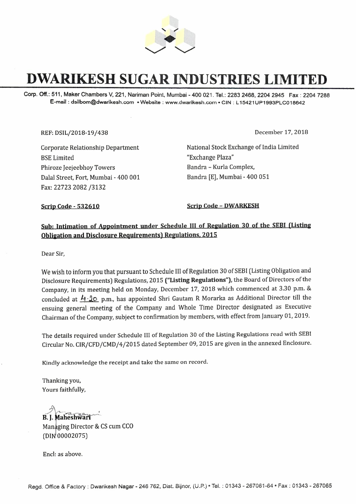

## **DWARIKESH SUGAR INDUSTRIES LIMITED**

**Corp. Off.: 511, Maker Chambers V, 221, Nariman** Point, Mumbai **-400** 021. Tel.: **2283 2468, 2204 2945 Fax: 2204** 7288 **E-mail : dsilbom@dwarikesh.com • Website : www.dwarikesh.com • CIN :** L **15421UP1993PLC018642** 

REF: DSIL/2018-19/438

December 17, 2018

Corporate Relationship Department BSE Limited Phiroze Jeejeebhoy Towers Dalal Street, Fort, Mumbai - 400 001 Fax: 22723 2082 /3132

National Stock Exchange of India Limited "Exchange Plaza" Bandra - Kurla Complex, Bandra [E], Mumbai - 400 051

**Scrip Code - 532610 Scrip Code - DWARKESH** 

## **<u>Sub: Intimation of Appointment under Schedule III of Regulation 30 of the SEBI (Listing</u> Obligation and Disclosure Requirements) Regulations. 2015**

Dear Sir,

We wish to inform you that pursuant to Schedule III of Regulation 30 of SEBI (Listing Obligation and Disclosure Requirements) Regulations, 2015 **("Listing Regulations"),** the Board of Directors of the Company, in its meeting held on Monday, December 17, 2018 which commenced at 3.30 p.m. & concluded at  $\cancel{A}$ . **20** p.m., has appointed Shri Gautam R Morarka as Additional Director till the ensuing general meeting of the Company and Whole Time Director designated as Executive Chairman of the Company, subject to confirmation by members, with effect from January 01, 2019.

The details required under Schedule III of Regulation 30 of the Listing Regulations read with SEBI Circular No. CIR/CFD/CMD/4/2015 dated September 09, 2015 are given in the annexed Enclosure.

Kindly acknowledge the receipt and take the same on record.

Thanking you, Yours faithfully,

B. J. Maheshwari Managing Director & CS cum CCO (DIN 00002075)

Encl: as above.